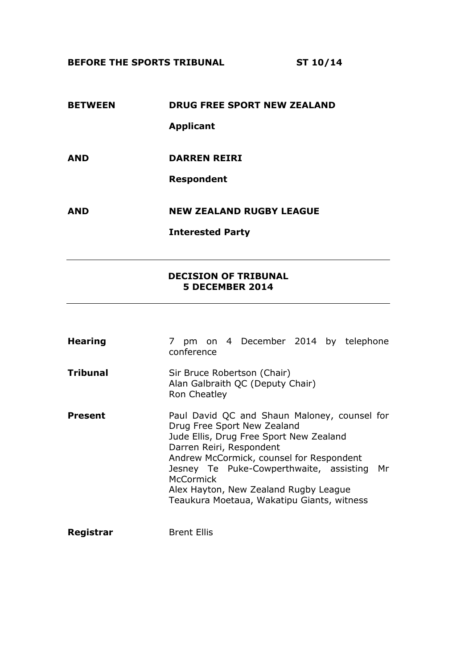**BEFORE THE SPORTS TRIBUNAL ST 10/14**

# **BETWEEN DRUG FREE SPORT NEW ZEALAND Applicant AND DARREN REIRI Respondent AND NEW ZEALAND RUGBY LEAGUE Interested Party**

**DECISION OF TRIBUNAL 5 DECEMBER 2014**

| <b>Hearing</b>  | 7 pm on 4 December 2014 by telephone<br>conference                                                                                                                                                                                                                                                                                               |
|-----------------|--------------------------------------------------------------------------------------------------------------------------------------------------------------------------------------------------------------------------------------------------------------------------------------------------------------------------------------------------|
| <b>Tribunal</b> | Sir Bruce Robertson (Chair)<br>Alan Galbraith QC (Deputy Chair)<br>Ron Cheatley                                                                                                                                                                                                                                                                  |
| Present         | Paul David QC and Shaun Maloney, counsel for<br>Drug Free Sport New Zealand<br>Jude Ellis, Drug Free Sport New Zealand<br>Darren Reiri, Respondent<br>Andrew McCormick, counsel for Respondent<br>Jesney Te Puke-Cowperthwaite, assisting Mr<br>McCormick<br>Alex Hayton, New Zealand Rugby League<br>Teaukura Moetaua, Wakatipu Giants, witness |
| Registrar       | <b>Brent Ellis</b>                                                                                                                                                                                                                                                                                                                               |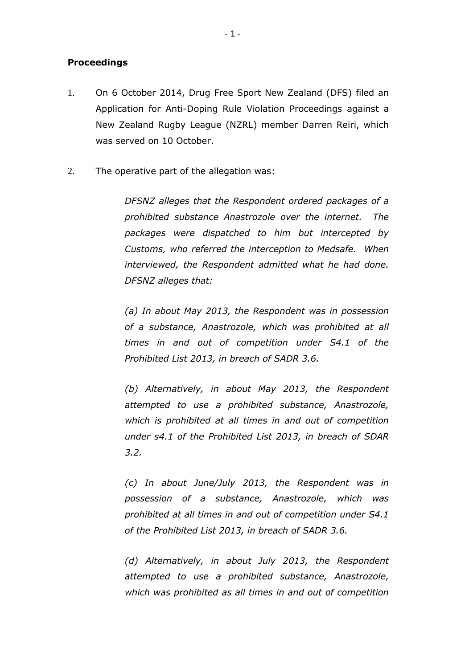## **Proceedings**

- 1. On 6 October 2014, Drug Free Sport New Zealand (DFS) filed an Application for Anti-Doping Rule Violation Proceedings against a New Zealand Rugby League (NZRL) member Darren Reiri, which was served on 10 October.
- 2. The operative part of the allegation was:

*DFSNZ alleges that the Respondent ordered packages of a prohibited substance Anastrozole over the internet. The packages were dispatched to him but intercepted by Customs, who referred the interception to Medsafe. When interviewed, the Respondent admitted what he had done. DFSNZ alleges that:*

*(a) In about May 2013, the Respondent was in possession of a substance, Anastrozole, which was prohibited at all times in and out of competition under S4.1 of the Prohibited List 2013, in breach of SADR 3.6.*

*(b) Alternatively, in about May 2013, the Respondent attempted to use a prohibited substance, Anastrozole, which is prohibited at all times in and out of competition under s4.1 of the Prohibited List 2013, in breach of SDAR 3.2.*

*(c) In about June/July 2013, the Respondent was in possession of a substance, Anastrozole, which was prohibited at all times in and out of competition under S4.1 of the Prohibited List 2013, in breach of SADR 3.6.*

*(d) Alternatively, in about July 2013, the Respondent attempted to use a prohibited substance, Anastrozole, which was prohibited as all times in and out of competition*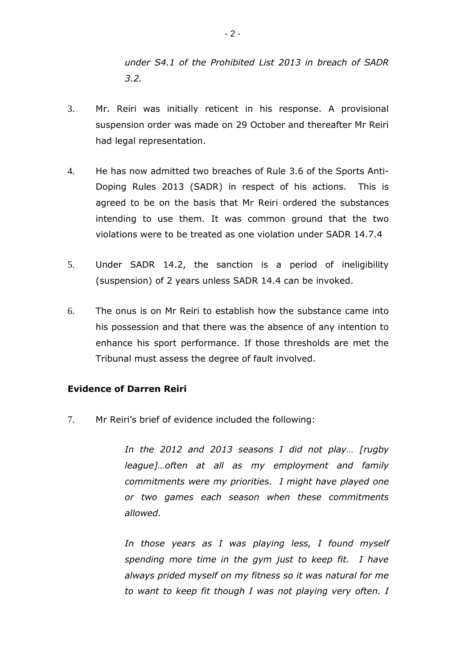*under S4.1 of the Prohibited List 2013 in breach of SADR 3.2.*

- 3. Mr. Reiri was initially reticent in his response. A provisional suspension order was made on 29 October and thereafter Mr Reiri had legal representation.
- 4. He has now admitted two breaches of Rule 3.6 of the Sports Anti-Doping Rules 2013 (SADR) in respect of his actions. This is agreed to be on the basis that Mr Reiri ordered the substances intending to use them. It was common ground that the two violations were to be treated as one violation under SADR 14.7.4
- 5. Under SADR 14.2, the sanction is a period of ineligibility (suspension) of 2 years unless SADR 14.4 can be invoked.
- 6. The onus is on Mr Reiri to establish how the substance came into his possession and that there was the absence of any intention to enhance his sport performance. If those thresholds are met the Tribunal must assess the degree of fault involved.

## **Evidence of Darren Reiri**

7. Mr Reiri's brief of evidence included the following:

*In the 2012 and 2013 seasons I did not play… [rugby league]…often at all as my employment and family commitments were my priorities. I might have played one or two games each season when these commitments allowed.*

*In those years as I was playing less, I found myself spending more time in the gym just to keep fit. I have always prided myself on my fitness so it was natural for me to want to keep fit though I was not playing very often. I*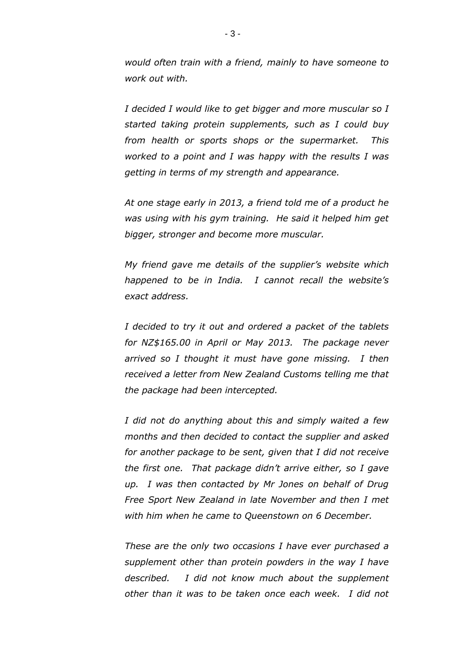*would often train with a friend, mainly to have someone to work out with.*

*I decided I would like to get bigger and more muscular so I started taking protein supplements, such as I could buy from health or sports shops or the supermarket. This worked to a point and I was happy with the results I was getting in terms of my strength and appearance.*

*At one stage early in 2013, a friend told me of a product he was using with his gym training. He said it helped him get bigger, stronger and become more muscular.*

*My friend gave me details of the supplier's website which happened to be in India. I cannot recall the website's exact address.*

*I decided to try it out and ordered a packet of the tablets for NZ\$165.00 in April or May 2013. The package never arrived so I thought it must have gone missing. I then received a letter from New Zealand Customs telling me that the package had been intercepted.*

*I did not do anything about this and simply waited a few months and then decided to contact the supplier and asked for another package to be sent, given that I did not receive the first one. That package didn't arrive either, so I gave up. I was then contacted by Mr Jones on behalf of Drug Free Sport New Zealand in late November and then I met with him when he came to Queenstown on 6 December.* 

*These are the only two occasions I have ever purchased a supplement other than protein powders in the way I have described. I did not know much about the supplement other than it was to be taken once each week. I did not*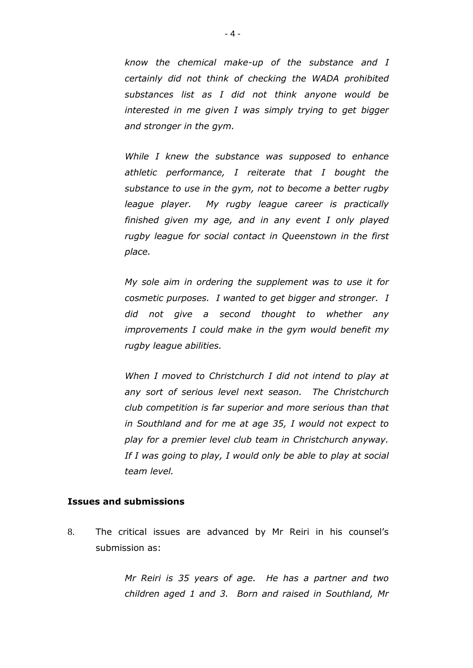*know the chemical make-up of the substance and I certainly did not think of checking the WADA prohibited substances list as I did not think anyone would be interested in me given I was simply trying to get bigger and stronger in the gym.*

*While I knew the substance was supposed to enhance athletic performance, I reiterate that I bought the substance to use in the gym, not to become a better rugby league player. My rugby league career is practically finished given my age, and in any event I only played rugby league for social contact in Queenstown in the first place.* 

*My sole aim in ordering the supplement was to use it for cosmetic purposes. I wanted to get bigger and stronger. I did not give a second thought to whether any improvements I could make in the gym would benefit my rugby league abilities.*

*When I moved to Christchurch I did not intend to play at any sort of serious level next season. The Christchurch club competition is far superior and more serious than that in Southland and for me at age 35, I would not expect to play for a premier level club team in Christchurch anyway. If I was going to play, I would only be able to play at social team level.*

### **Issues and submissions**

8. The critical issues are advanced by Mr Reiri in his counsel's submission as:

> *Mr Reiri is 35 years of age. He has a partner and two children aged 1 and 3. Born and raised in Southland, Mr*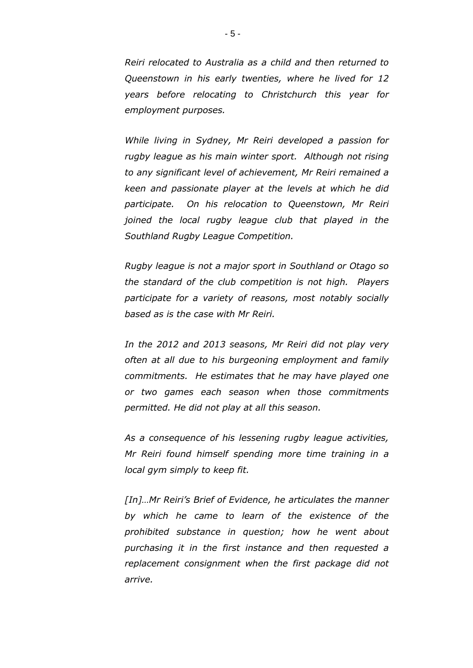*Reiri relocated to Australia as a child and then returned to Queenstown in his early twenties, where he lived for 12 years before relocating to Christchurch this year for employment purposes.* 

*While living in Sydney, Mr Reiri developed a passion for rugby league as his main winter sport. Although not rising to any significant level of achievement, Mr Reiri remained a keen and passionate player at the levels at which he did participate. On his relocation to Queenstown, Mr Reiri joined the local rugby league club that played in the Southland Rugby League Competition.* 

*Rugby league is not a major sport in Southland or Otago so the standard of the club competition is not high. Players participate for a variety of reasons, most notably socially based as is the case with Mr Reiri.* 

*In the 2012 and 2013 seasons, Mr Reiri did not play very often at all due to his burgeoning employment and family commitments. He estimates that he may have played one or two games each season when those commitments permitted. He did not play at all this season.*

*As a consequence of his lessening rugby league activities, Mr Reiri found himself spending more time training in a local gym simply to keep fit.* 

*[In]…Mr Reiri's Brief of Evidence, he articulates the manner by which he came to learn of the existence of the prohibited substance in question; how he went about purchasing it in the first instance and then requested a replacement consignment when the first package did not arrive.*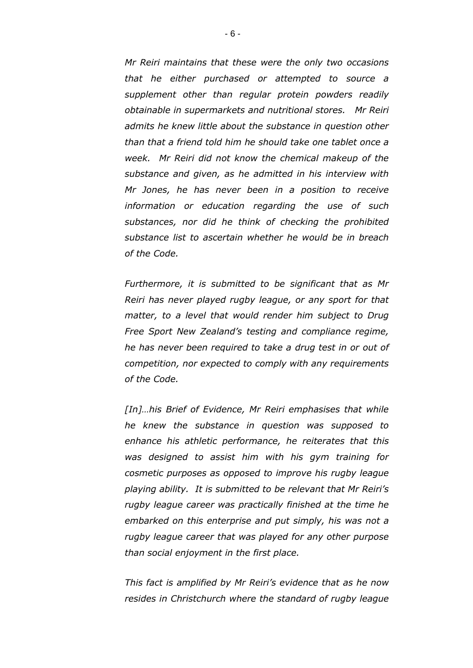*Mr Reiri maintains that these were the only two occasions that he either purchased or attempted to source a supplement other than regular protein powders readily obtainable in supermarkets and nutritional stores. Mr Reiri admits he knew little about the substance in question other than that a friend told him he should take one tablet once a week. Mr Reiri did not know the chemical makeup of the substance and given, as he admitted in his interview with Mr Jones, he has never been in a position to receive information or education regarding the use of such substances, nor did he think of checking the prohibited substance list to ascertain whether he would be in breach of the Code.* 

*Furthermore, it is submitted to be significant that as Mr Reiri has never played rugby league, or any sport for that matter, to a level that would render him subject to Drug Free Sport New Zealand's testing and compliance regime, he has never been required to take a drug test in or out of competition, nor expected to comply with any requirements of the Code.* 

*[In]…his Brief of Evidence, Mr Reiri emphasises that while he knew the substance in question was supposed to enhance his athletic performance, he reiterates that this was designed to assist him with his gym training for cosmetic purposes as opposed to improve his rugby league playing ability. It is submitted to be relevant that Mr Reiri's rugby league career was practically finished at the time he embarked on this enterprise and put simply, his was not a rugby league career that was played for any other purpose than social enjoyment in the first place.* 

*This fact is amplified by Mr Reiri's evidence that as he now resides in Christchurch where the standard of rugby league*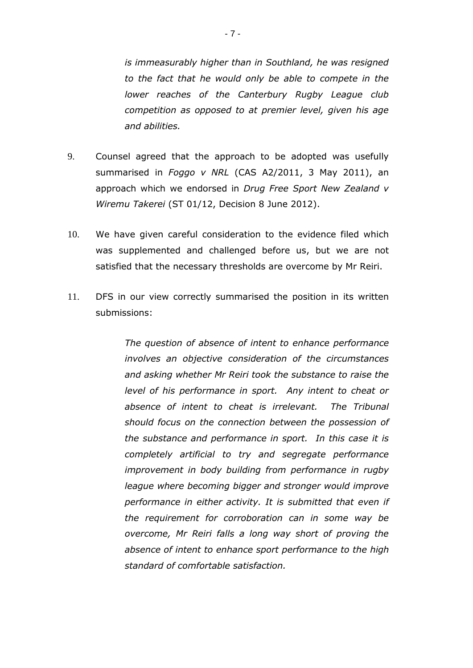*is immeasurably higher than in Southland, he was resigned to the fact that he would only be able to compete in the lower reaches of the Canterbury Rugby League club competition as opposed to at premier level, given his age and abilities.* 

- 9. Counsel agreed that the approach to be adopted was usefully summarised in *Foggo v NRL* (CAS A2/2011, 3 May 2011), an approach which we endorsed in *Drug Free Sport New Zealand v Wiremu Takerei* (ST 01/12, Decision 8 June 2012).
- 10. We have given careful consideration to the evidence filed which was supplemented and challenged before us, but we are not satisfied that the necessary thresholds are overcome by Mr Reiri.
- 11. DFS in our view correctly summarised the position in its written submissions:

*The question of absence of intent to enhance performance involves an objective consideration of the circumstances and asking whether Mr Reiri took the substance to raise the level of his performance in sport. Any intent to cheat or absence of intent to cheat is irrelevant. The Tribunal should focus on the connection between the possession of the substance and performance in sport. In this case it is completely artificial to try and segregate performance improvement in body building from performance in rugby league where becoming bigger and stronger would improve performance in either activity. It is submitted that even if the requirement for corroboration can in some way be overcome, Mr Reiri falls a long way short of proving the absence of intent to enhance sport performance to the high standard of comfortable satisfaction.*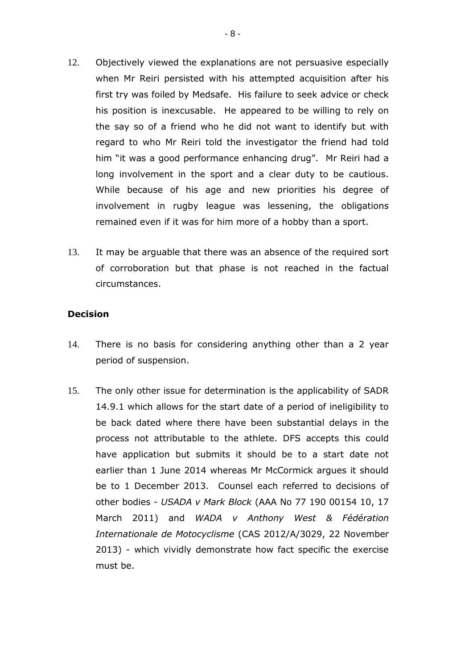- 12. Objectively viewed the explanations are not persuasive especially when Mr Reiri persisted with his attempted acquisition after his first try was foiled by Medsafe. His failure to seek advice or check his position is inexcusable. He appeared to be willing to rely on the say so of a friend who he did not want to identify but with regard to who Mr Reiri told the investigator the friend had told him "it was a good performance enhancing drug". Mr Reiri had a long involvement in the sport and a clear duty to be cautious. While because of his age and new priorities his degree of involvement in rugby league was lessening, the obligations remained even if it was for him more of a hobby than a sport.
- 13. It may be arguable that there was an absence of the required sort of corroboration but that phase is not reached in the factual circumstances.

### **Decision**

- 14. There is no basis for considering anything other than a 2 year period of suspension.
- 15. The only other issue for determination is the applicability of SADR 14.9.1 which allows for the start date of a period of ineligibility to be back dated where there have been substantial delays in the process not attributable to the athlete. DFS accepts this could have application but submits it should be to a start date not earlier than 1 June 2014 whereas Mr McCormick argues it should be to 1 December 2013. Counsel each referred to decisions of other bodies - *USADA v Mark Block* (AAA No 77 190 00154 10, 17 March 2011) and *WADA v Anthony West & Fédération Internationale de Motocyclisme* (CAS 2012/A/3029, 22 November 2013) - which vividly demonstrate how fact specific the exercise must be.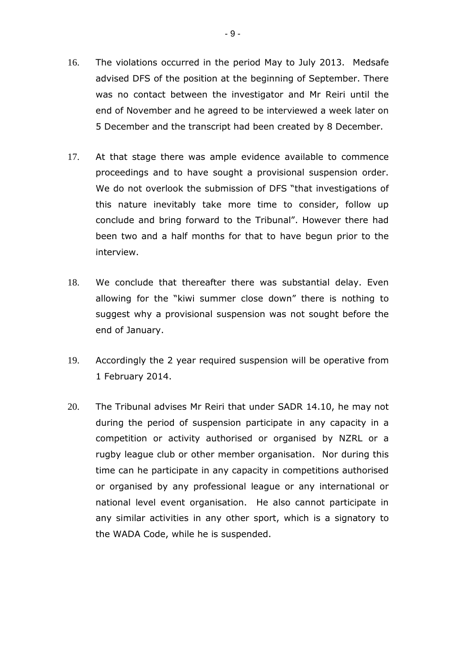- 16. The violations occurred in the period May to July 2013. Medsafe advised DFS of the position at the beginning of September. There was no contact between the investigator and Mr Reiri until the end of November and he agreed to be interviewed a week later on 5 December and the transcript had been created by 8 December.
- 17. At that stage there was ample evidence available to commence proceedings and to have sought a provisional suspension order. We do not overlook the submission of DFS "that investigations of this nature inevitably take more time to consider, follow up conclude and bring forward to the Tribunal". However there had been two and a half months for that to have begun prior to the interview.
- 18. We conclude that thereafter there was substantial delay. Even allowing for the "kiwi summer close down" there is nothing to suggest why a provisional suspension was not sought before the end of January.
- 19. Accordingly the 2 year required suspension will be operative from 1 February 2014.
- 20. The Tribunal advises Mr Reiri that under SADR 14.10, he may not during the period of suspension participate in any capacity in a competition or activity authorised or organised by NZRL or a rugby league club or other member organisation. Nor during this time can he participate in any capacity in competitions authorised or organised by any professional league or any international or national level event organisation. He also cannot participate in any similar activities in any other sport, which is a signatory to the WADA Code, while he is suspended.